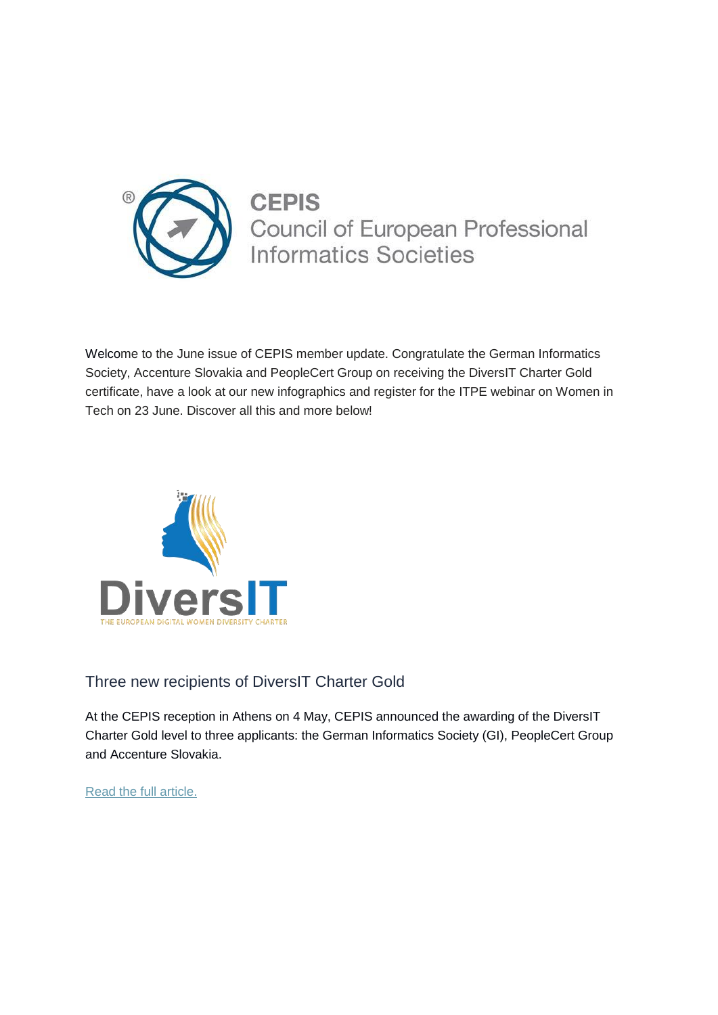

**CEPIS** Council of European Professional **Informatics Societies** 

Welcome to the June issue of CEPIS member update. Congratulate the German Informatics Society, Accenture Slovakia and PeopleCert Group on receiving the DiversIT Charter Gold certificate, have a look at our new infographics and register for the ITPE webinar on Women in Tech on 23 June. Discover all this and more below!



# Three new recipients of DiversIT Charter Gold

At the CEPIS reception in Athens on 4 May, CEPIS announced the awarding of the DiversIT Charter Gold level to three applicants: the German Informatics Society (GI), PeopleCert Group and Accenture Slovakia.

[Read the full article.](https://cepis.cmail19.com/t/j-l-vmiijd-djhluhfid-r/)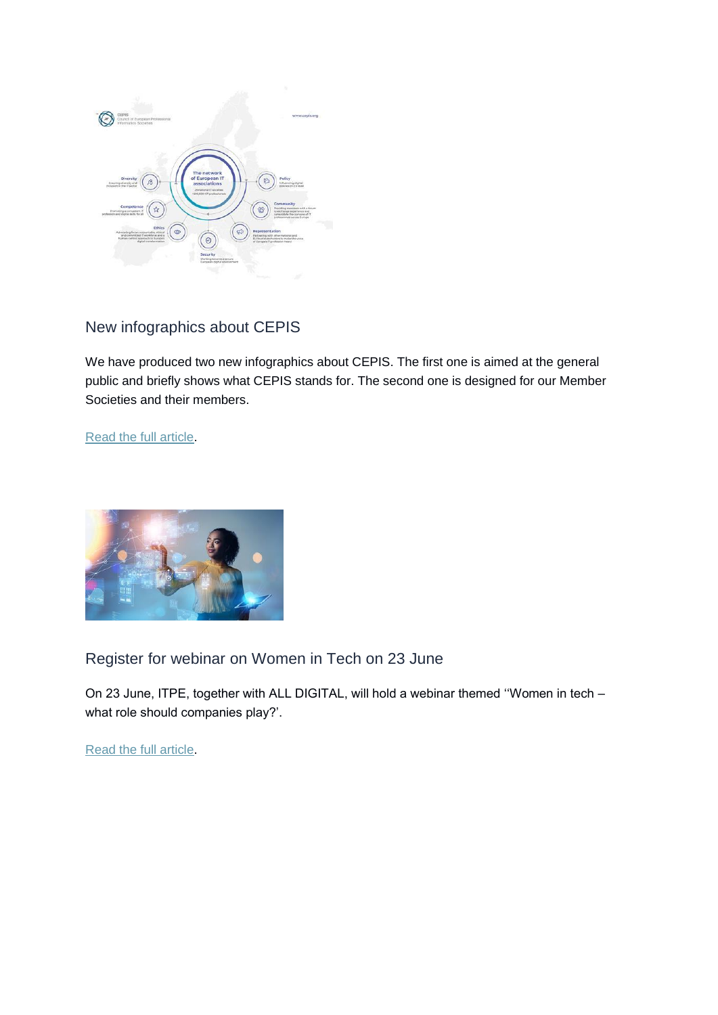

## New infographics about CEPIS

We have produced two new infographics about CEPIS. The first one is aimed at the general public and briefly shows what CEPIS stands for. The second one is designed for our Member Societies and their members.

[Read the full article.](https://cepis.cmail19.com/t/j-l-vmiijd-djhluhfid-y/)



Register for webinar on Women in Tech on 23 June

On 23 June, ITPE, together with ALL DIGITAL, will hold a webinar themed ''Women in tech – what role should companies play?'.

[Read the full article.](https://cepis.cmail19.com/t/j-l-vmiijd-djhluhfid-j/)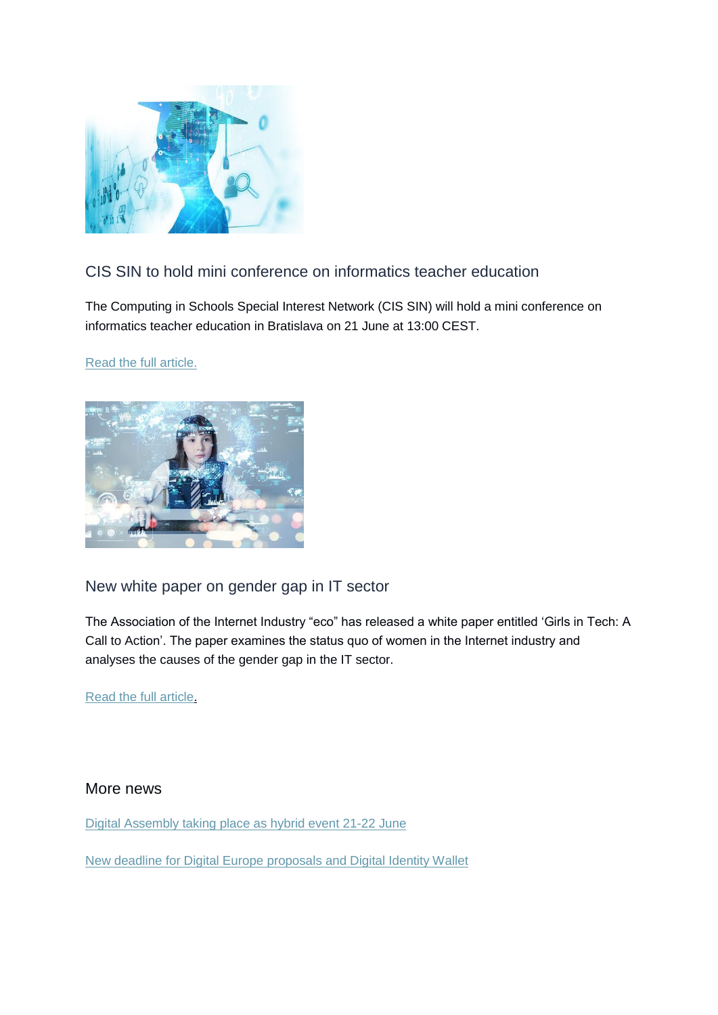

# CIS SIN to hold mini conference on informatics teacher education

The Computing in Schools Special Interest Network (CIS SIN) will hold a mini conference on informatics teacher education in Bratislava on 21 June at 13:00 CEST.

#### [Read the full article.](https://cepis.cmail19.com/t/j-l-vmiijd-djhluhfid-t/)



### New white paper on gender gap in IT sector

The Association of the Internet Industry "eco" has released a white paper entitled 'Girls in Tech: A Call to Action'. The paper examines the status quo of women in the Internet industry and analyses the causes of the gender gap in the IT sector.

[Read the full article.](https://cepis.cmail19.com/t/j-l-vmiijd-djhluhfid-i/)

#### More news

[Digital Assembly taking place as hybrid event 21-22 June](https://cepis.cmail19.com/t/j-l-vmiijd-djhluhfid-d/)

[New deadline for Digital Europe proposals and Digital Identity Wallet](https://cepis.cmail19.com/t/j-l-vmiijd-djhluhfid-h/)